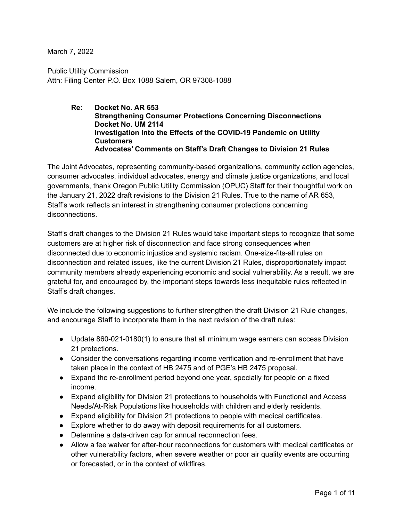March 7, 2022

Public Utility Commission Attn: Filing Center P.O. Box 1088 Salem, OR 97308-1088

> **Re: Docket No. AR 653 Strengthening Consumer Protections Concerning Disconnections Docket No. UM 2114 Investigation into the Effects of the COVID-19 Pandemic on Utility Customers Advocates' Comments on Staff's Draft Changes to Division 21 Rules**

The Joint Advocates, representing community-based organizations, community action agencies, consumer advocates, individual advocates, energy and climate justice organizations, and local governments, thank Oregon Public Utility Commission (OPUC) Staff for their thoughtful work on the January 21, 2022 draft revisions to the Division 21 Rules. True to the name of AR 653, Staff's work reflects an interest in strengthening consumer protections concerning disconnections.

Staff's draft changes to the Division 21 Rules would take important steps to recognize that some customers are at higher risk of disconnection and face strong consequences when disconnected due to economic injustice and systemic racism. One-size-fits-all rules on disconnection and related issues, like the current Division 21 Rules, disproportionately impact community members already experiencing economic and social vulnerability. As a result, we are grateful for, and encouraged by, the important steps towards less inequitable rules reflected in Staff's draft changes.

We include the following suggestions to further strengthen the draft Division 21 Rule changes, and encourage Staff to incorporate them in the next revision of the draft rules:

- Update 860-021-0180(1) to ensure that all minimum wage earners can access Division 21 protections.
- Consider the conversations regarding income verification and re-enrollment that have taken place in the context of HB 2475 and of PGE's HB 2475 proposal.
- Expand the re-enrollment period beyond one year, specially for people on a fixed income.
- Expand eligibility for Division 21 protections to households with Functional and Access Needs/At-Risk Populations like households with children and elderly residents.
- Expand eligibility for Division 21 protections to people with medical certificates.
- Explore whether to do away with deposit requirements for all customers.
- Determine a data-driven cap for annual reconnection fees.
- Allow a fee waiver for after-hour reconnections for customers with medical certificates or other vulnerability factors, when severe weather or poor air quality events are occurring or forecasted, or in the context of wildfires.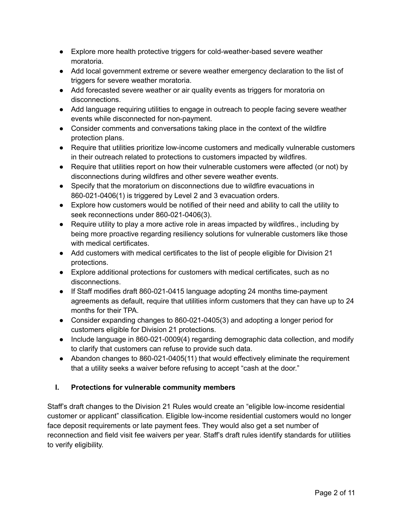- Explore more health protective triggers for cold-weather-based severe weather moratoria.
- Add local government extreme or severe weather emergency declaration to the list of triggers for severe weather moratoria.
- Add forecasted severe weather or air quality events as triggers for moratoria on disconnections.
- Add language requiring utilities to engage in outreach to people facing severe weather events while disconnected for non-payment.
- Consider comments and conversations taking place in the context of the wildfire protection plans.
- Require that utilities prioritize low-income customers and medically vulnerable customers in their outreach related to protections to customers impacted by wildfires.
- Require that utilities report on how their vulnerable customers were affected (or not) by disconnections during wildfires and other severe weather events.
- Specify that the moratorium on disconnections due to wildfire evacuations in 860-021-0406(1) is triggered by Level 2 and 3 evacuation orders.
- Explore how customers would be notified of their need and ability to call the utility to seek reconnections under 860-021-0406(3).
- Require utility to play a more active role in areas impacted by wildfires., including by being more proactive regarding resiliency solutions for vulnerable customers like those with medical certificates.
- Add customers with medical certificates to the list of people eligible for Division 21 protections.
- Explore additional protections for customers with medical certificates, such as no disconnections.
- If Staff modifies draft 860-021-0415 language adopting 24 months time-payment agreements as default, require that utilities inform customers that they can have up to 24 months for their TPA.
- Consider expanding changes to 860-021-0405(3) and adopting a longer period for customers eligible for Division 21 protections.
- Include language in 860-021-0009(4) regarding demographic data collection, and modify to clarify that customers can refuse to provide such data.
- Abandon changes to 860-021-0405(11) that would effectively eliminate the requirement that a utility seeks a waiver before refusing to accept "cash at the door."

# **I. Protections for vulnerable community members**

Staff's draft changes to the Division 21 Rules would create an "eligible low-income residential customer or applicant" classification. Eligible low-income residential customers would no longer face deposit requirements or late payment fees. They would also get a set number of reconnection and field visit fee waivers per year. Staff's draft rules identify standards for utilities to verify eligibility.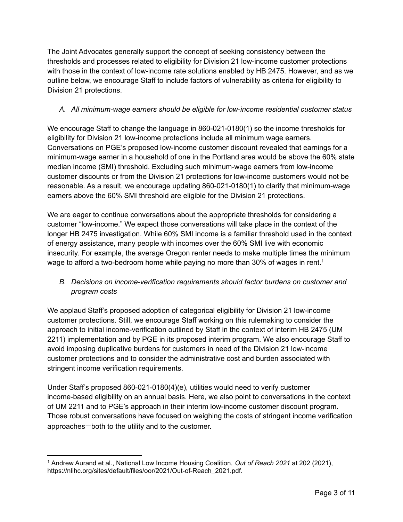The Joint Advocates generally support the concept of seeking consistency between the thresholds and processes related to eligibility for Division 21 low-income customer protections with those in the context of low-income rate solutions enabled by HB 2475. However, and as we outline below, we encourage Staff to include factors of vulnerability as criteria for eligibility to Division 21 protections.

#### *A. All minimum-wage earners should be eligible for low-income residential customer status*

We encourage Staff to change the language in 860-021-0180(1) so the income thresholds for eligibility for Division 21 low-income protections include all minimum wage earners. Conversations on PGE's proposed low-income customer discount revealed that earnings for a minimum-wage earner in a household of one in the Portland area would be above the 60% state median income (SMI) threshold. Excluding such minimum-wage earners from low-income customer discounts or from the Division 21 protections for low-income customers would not be reasonable. As a result, we encourage updating 860-021-0180(1) to clarify that minimum-wage earners above the 60% SMI threshold are eligible for the Division 21 protections.

We are eager to continue conversations about the appropriate thresholds for considering a customer "low-income." We expect those conversations will take place in the context of the longer HB 2475 investigation. While 60% SMI income is a familiar threshold used in the context of energy assistance, many people with incomes over the 60% SMI live with economic insecurity. For example, the average Oregon renter needs to make multiple times the minimum wage to afford a two-bedroom home while paying no more than 30% of wages in rent.<sup>1</sup>

# *B. Decisions on income-verification requirements should factor burdens on customer and program costs*

We applaud Staff's proposed adoption of categorical eligibility for Division 21 low-income customer protections. Still, we encourage Staff working on this rulemaking to consider the approach to initial income-verification outlined by Staff in the context of interim HB 2475 (UM 2211) implementation and by PGE in its proposed interim program. We also encourage Staff to avoid imposing duplicative burdens for customers in need of the Division 21 low-income customer protections and to consider the administrative cost and burden associated with stringent income verification requirements.

Under Staff's proposed 860-021-0180(4)(e), utilities would need to verify customer income-based eligibility on an annual basis. Here, we also point to conversations in the context of UM 2211 and to PGE's approach in their interim low-income customer discount program. Those robust conversations have focused on weighing the costs of stringent income verification approaches—both to the utility and to the customer.

<sup>1</sup> Andrew Aurand et al., National Low Income Housing Coalition, *Out of Reach 2021* at 202 (2021), https://nlihc.org/sites/default/files/oor/2021/Out-of-Reach\_2021.pdf.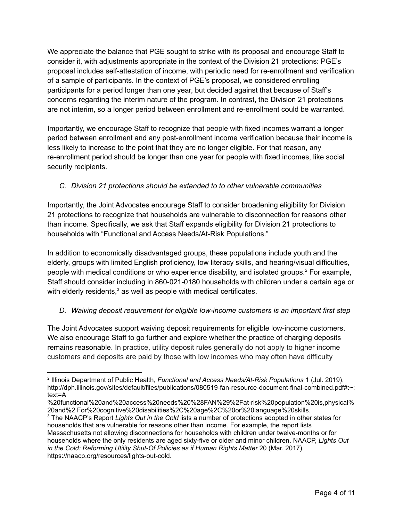We appreciate the balance that PGE sought to strike with its proposal and encourage Staff to consider it, with adjustments appropriate in the context of the Division 21 protections: PGE's proposal includes self-attestation of income, with periodic need for re-enrollment and verification of a sample of participants. In the context of PGE's proposal, we considered enrolling participants for a period longer than one year, but decided against that because of Staff's concerns regarding the interim nature of the program. In contrast, the Division 21 protections are not interim, so a longer period between enrollment and re-enrollment could be warranted.

Importantly, we encourage Staff to recognize that people with fixed incomes warrant a longer period between enrollment and any post-enrollment income verification because their income is less likely to increase to the point that they are no longer eligible. For that reason, any re-enrollment period should be longer than one year for people with fixed incomes, like social security recipients.

# *C. Division 21 protections should be extended to to other vulnerable communities*

Importantly, the Joint Advocates encourage Staff to consider broadening eligibility for Division 21 protections to recognize that households are vulnerable to disconnection for reasons other than income. Specifically, we ask that Staff expands eligibility for Division 21 protections to households with "Functional and Access Needs/At-Risk Populations."

In addition to economically disadvantaged groups, these populations include youth and the elderly, groups with limited English proficiency, low literacy skills, and hearing/visual difficulties, people with medical conditions or who experience disability, and isolated groups.<sup>2</sup> For example, Staff should consider including in 860-021-0180 households with children under a certain age or with elderly residents,<sup>3</sup> as well as people with medical certificates.

# *D. Waiving deposit requirement for eligible low-income customers is an important first step*

The Joint Advocates support waiving deposit requirements for eligible low-income customers. We also encourage Staff to go further and explore whether the practice of charging deposits remains reasonable. In practice, utility deposit rules generally do not apply to higher income customers and deposits are paid by those with low incomes who may often have difficulty

<sup>2</sup> Illinois Department of Public Health, *Functional and Access Needs/At-Risk Populations* 1 (Jul. 2019), http://dph.illinois.gov/sites/default/files/publications/080519-fan-resource-document-final-combined.pdf#:~: text=A

<sup>%20</sup>functional%20and%20access%20needs%20%28FAN%29%2Fat-risk%20population%20is,physical% 20and%2 For%20cognitive%20disabilities%2C%20age%2C%20or%20language%20skills.

<sup>3</sup> The NAACP's Report *Lights Out in the Cold* lists a number of protections adopted in other states for households that are vulnerable for reasons other than income. For example, the report lists Massachusetts not allowing disconnections for households with children under twelve-months or for households where the only residents are aged sixty-five or older and minor children. NAACP, *Lights Out in the Cold: Reforming Utility Shut-Of Policies as if Human Rights Matter* 20 (Mar. 2017), https://naacp.org/resources/lights-out-cold.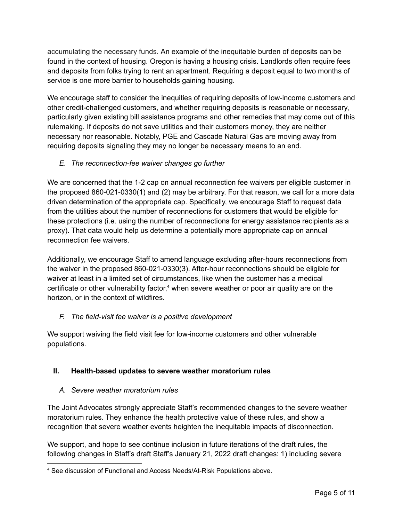accumulating the necessary funds. An example of the inequitable burden of deposits can be found in the context of housing. Oregon is having a housing crisis. Landlords often require fees and deposits from folks trying to rent an apartment. Requiring a deposit equal to two months of service is one more barrier to households gaining housing.

We encourage staff to consider the inequities of requiring deposits of low-income customers and other credit-challenged customers, and whether requiring deposits is reasonable or necessary, particularly given existing bill assistance programs and other remedies that may come out of this rulemaking. If deposits do not save utilities and their customers money, they are neither necessary nor reasonable. Notably, PGE and Cascade Natural Gas are moving away from requiring deposits signaling they may no longer be necessary means to an end.

# *E. The reconnection-fee waiver changes go further*

We are concerned that the 1-2 cap on annual reconnection fee waivers per eligible customer in the proposed 860-021-0330(1) and (2) may be arbitrary. For that reason, we call for a more data driven determination of the appropriate cap. Specifically, we encourage Staff to request data from the utilities about the number of reconnections for customers that would be eligible for these protections (i.e. using the number of reconnections for energy assistance recipients as a proxy). That data would help us determine a potentially more appropriate cap on annual reconnection fee waivers.

Additionally, we encourage Staff to amend language excluding after-hours reconnections from the waiver in the proposed 860-021-0330(3). After-hour reconnections should be eligible for waiver at least in a limited set of circumstances, like when the customer has a medical certificate or other vulnerability factor, <sup>4</sup> when severe weather or poor air quality are on the horizon, or in the context of wildfires.

# *F. The field-visit fee waiver is a positive development*

We support waiving the field visit fee for low-income customers and other vulnerable populations.

# **II. Health-based updates to severe weather moratorium rules**

# *A. Severe weather moratorium rules*

The Joint Advocates strongly appreciate Staff's recommended changes to the severe weather moratorium rules. They enhance the health protective value of these rules, and show a recognition that severe weather events heighten the inequitable impacts of disconnection.

We support, and hope to see continue inclusion in future iterations of the draft rules, the following changes in Staff's draft Staff's January 21, 2022 draft changes: 1) including severe

<sup>4</sup> See discussion of Functional and Access Needs/At-Risk Populations above.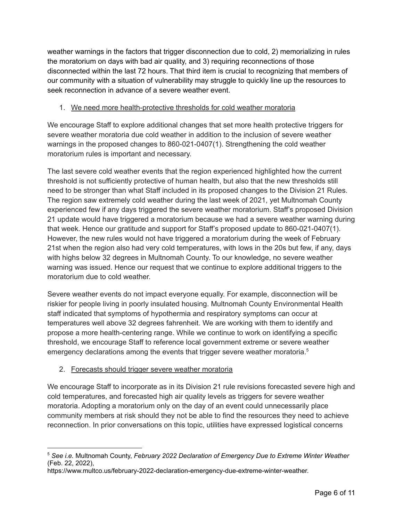weather warnings in the factors that trigger disconnection due to cold, 2) memorializing in rules the moratorium on days with bad air quality, and 3) requiring reconnections of those disconnected within the last 72 hours. That third item is crucial to recognizing that members of our community with a situation of vulnerability may struggle to quickly line up the resources to seek reconnection in advance of a severe weather event.

#### 1. We need more health-protective thresholds for cold weather moratoria

We encourage Staff to explore additional changes that set more health protective triggers for severe weather moratoria due cold weather in addition to the inclusion of severe weather warnings in the proposed changes to 860-021-0407(1). Strengthening the cold weather moratorium rules is important and necessary.

The last severe cold weather events that the region experienced highlighted how the current threshold is not sufficiently protective of human health, but also that the new thresholds still need to be stronger than what Staff included in its proposed changes to the Division 21 Rules. The region saw extremely cold weather during the last week of 2021, yet Multnomah County experienced few if any days triggered the severe weather moratorium. Staff's proposed Division 21 update would have triggered a moratorium because we had a severe weather warning during that week. Hence our gratitude and support for Staff's proposed update to 860-021-0407(1). However, the new rules would not have triggered a moratorium during the week of February 21st when the region also had very cold temperatures, with lows in the 20s but few, if any, days with highs below 32 degrees in Multnomah County. To our knowledge, no severe weather warning was issued. Hence our request that we continue to explore additional triggers to the moratorium due to cold weather.

Severe weather events do not impact everyone equally. For example, disconnection will be riskier for people living in poorly insulated housing. Multnomah County Environmental Health staff indicated that symptoms of hypothermia and respiratory symptoms can occur at temperatures well above 32 degrees fahrenheit. We are working with them to identify and propose a more health-centering range. While we continue to work on identifying a specific threshold, we encourage Staff to reference local government extreme or severe weather emergency declarations among the events that trigger severe weather moratoria.<sup>5</sup>

# 2. Forecasts should trigger severe weather moratoria

We encourage Staff to incorporate as in its Division 21 rule revisions forecasted severe high and cold temperatures, and forecasted high air quality levels as triggers for severe weather moratoria. Adopting a moratorium only on the day of an event could unnecessarily place community members at risk should they not be able to find the resources they need to achieve reconnection. In prior conversations on this topic, utilities have expressed logistical concerns

<sup>5</sup> *See i.e.* Multnomah County, *February 2022 Declaration of Emergency Due to Extreme Winter Weather* (Feb. 22, 2022),

https://www.multco.us/february-2022-declaration-emergency-due-extreme-winter-weather.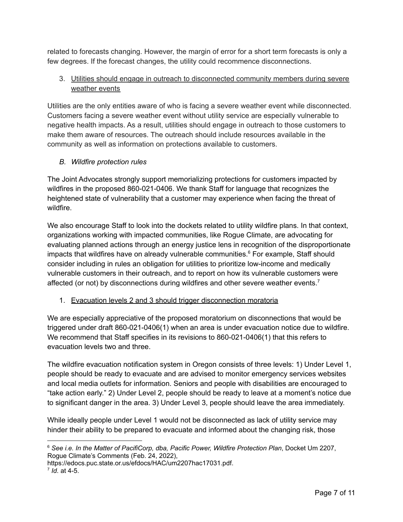related to forecasts changing. However, the margin of error for a short term forecasts is only a few degrees. If the forecast changes, the utility could recommence disconnections.

#### 3. Utilities should engage in outreach to disconnected community members during severe weather events

Utilities are the only entities aware of who is facing a severe weather event while disconnected. Customers facing a severe weather event without utility service are especially vulnerable to negative health impacts. As a result, utilities should engage in outreach to those customers to make them aware of resources. The outreach should include resources available in the community as well as information on protections available to customers.

# *B. Wildfire protection rules*

The Joint Advocates strongly support memorializing protections for customers impacted by wildfires in the proposed 860-021-0406. We thank Staff for language that recognizes the heightened state of vulnerability that a customer may experience when facing the threat of wildfire.

We also encourage Staff to look into the dockets related to utility wildfire plans. In that context, organizations working with impacted communities, like Rogue Climate, are advocating for evaluating planned actions through an energy justice lens in recognition of the disproportionate impacts that wildfires have on already vulnerable communities. <sup>6</sup> For example, Staff should consider including in rules an obligation for utilities to prioritize low-income and medically vulnerable customers in their outreach, and to report on how its vulnerable customers were affected (or not) by disconnections during wildfires and other severe weather events.<sup>7</sup>

# 1. Evacuation levels 2 and 3 should trigger disconnection moratoria

We are especially appreciative of the proposed moratorium on disconnections that would be triggered under draft 860-021-0406(1) when an area is under evacuation notice due to wildfire. We recommend that Staff specifies in its revisions to 860-021-0406(1) that this refers to evacuation levels two and three.

The wildfire evacuation notification system in Oregon consists of three levels: 1) Under Level 1, people should be ready to evacuate and are advised to monitor emergency services websites and local media outlets for information. Seniors and people with disabilities are encouraged to "take action early." 2) Under Level 2, people should be ready to leave at a moment's notice due to significant danger in the area. 3) Under Level 3, people should leave the area immediately.

While ideally people under Level 1 would not be disconnected as lack of utility service may hinder their ability to be prepared to evacuate and informed about the changing risk, those

<sup>6</sup> *See i.e. In the Matter of PacifiCorp, dba, Pacific Power, Wildfire Protection Plan*, Docket Um 2207, Rogue Climate's Comments (Feb. 24, 2022),

https://edocs.puc.state.or.us/efdocs/HAC/um2207hac17031.pdf.

<sup>7</sup> *Id*. at 4-5.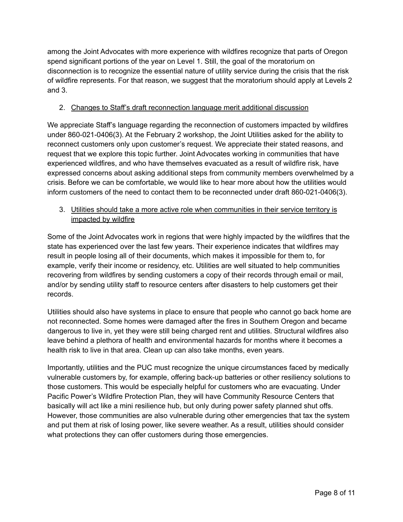among the Joint Advocates with more experience with wildfires recognize that parts of Oregon spend significant portions of the year on Level 1. Still, the goal of the moratorium on disconnection is to recognize the essential nature of utility service during the crisis that the risk of wildfire represents. For that reason, we suggest that the moratorium should apply at Levels 2 and 3.

#### 2. Changes to Staff's draft reconnection language merit additional discussion

We appreciate Staff's language regarding the reconnection of customers impacted by wildfires under 860-021-0406(3). At the February 2 workshop, the Joint Utilities asked for the ability to reconnect customers only upon customer's request. We appreciate their stated reasons, and request that we explore this topic further. Joint Advocates working in communities that have experienced wildfires, and who have themselves evacuated as a result of wildfire risk, have expressed concerns about asking additional steps from community members overwhelmed by a crisis. Before we can be comfortable, we would like to hear more about how the utilities would inform customers of the need to contact them to be reconnected under draft 860-021-0406(3).

#### 3. Utilities should take a more active role when communities in their service territory is impacted by wildfire

Some of the Joint Advocates work in regions that were highly impacted by the wildfires that the state has experienced over the last few years. Their experience indicates that wildfires may result in people losing all of their documents, which makes it impossible for them to, for example, verify their income or residency, etc. Utilities are well situated to help communities recovering from wildfires by sending customers a copy of their records through email or mail, and/or by sending utility staff to resource centers after disasters to help customers get their records.

Utilities should also have systems in place to ensure that people who cannot go back home are not reconnected. Some homes were damaged after the fires in Southern Oregon and became dangerous to live in, yet they were still being charged rent and utilities. Structural wildfires also leave behind a plethora of health and environmental hazards for months where it becomes a health risk to live in that area. Clean up can also take months, even years.

Importantly, utilities and the PUC must recognize the unique circumstances faced by medically vulnerable customers by, for example, offering back-up batteries or other resiliency solutions to those customers. This would be especially helpful for customers who are evacuating. Under Pacific Power's Wildfire Protection Plan, they will have Community Resource Centers that basically will act like a mini resilience hub, but only during power safety planned shut offs. However, those communities are also vulnerable during other emergencies that tax the system and put them at risk of losing power, like severe weather. As a result, utilities should consider what protections they can offer customers during those emergencies.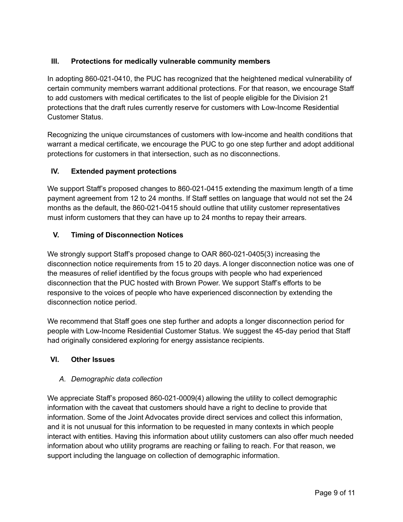# **III. Protections for medically vulnerable community members**

In adopting 860-021-0410, the PUC has recognized that the heightened medical vulnerability of certain community members warrant additional protections. For that reason, we encourage Staff to add customers with medical certificates to the list of people eligible for the Division 21 protections that the draft rules currently reserve for customers with Low-Income Residential Customer Status.

Recognizing the unique circumstances of customers with low-income and health conditions that warrant a medical certificate, we encourage the PUC to go one step further and adopt additional protections for customers in that intersection, such as no disconnections.

#### **IV. Extended payment protections**

We support Staff's proposed changes to 860-021-0415 extending the maximum length of a time payment agreement from 12 to 24 months. If Staff settles on language that would not set the 24 months as the default, the 860-021-0415 should outline that utility customer representatives must inform customers that they can have up to 24 months to repay their arrears.

#### **V. Timing of Disconnection Notices**

We strongly support Staff's proposed change to OAR 860-021-0405(3) increasing the disconnection notice requirements from 15 to 20 days. A longer disconnection notice was one of the measures of relief identified by the focus groups with people who had experienced disconnection that the PUC hosted with Brown Power. We support Staff's efforts to be responsive to the voices of people who have experienced disconnection by extending the disconnection notice period.

We recommend that Staff goes one step further and adopts a longer disconnection period for people with Low-Income Residential Customer Status. We suggest the 45-day period that Staff had originally considered exploring for energy assistance recipients.

#### **VI. Other Issues**

#### *A. Demographic data collection*

We appreciate Staff's proposed 860-021-0009(4) allowing the utility to collect demographic information with the caveat that customers should have a right to decline to provide that information. Some of the Joint Advocates provide direct services and collect this information, and it is not unusual for this information to be requested in many contexts in which people interact with entities. Having this information about utility customers can also offer much needed information about who utility programs are reaching or failing to reach. For that reason, we support including the language on collection of demographic information.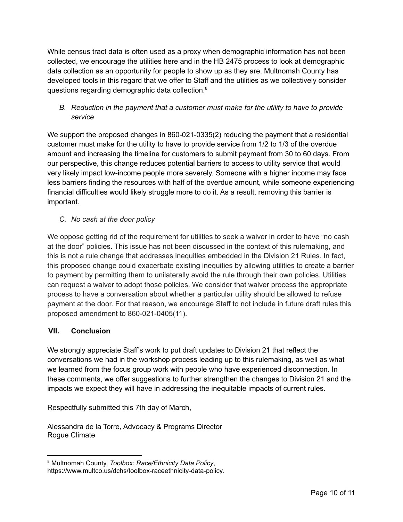While census tract data is often used as a proxy when demographic information has not been collected, we encourage the utilities here and in the HB 2475 process to look at demographic data collection as an opportunity for people to show up as they are. Multnomah County has developed tools in this regard that we offer to Staff and the utilities as we collectively consider questions regarding demographic data collection.<sup>8</sup>

*B. Reduction in the payment that a customer must make for the utility to have to provide service*

We support the proposed changes in 860-021-0335(2) reducing the payment that a residential customer must make for the utility to have to provide service from 1/2 to 1/3 of the overdue amount and increasing the timeline for customers to submit payment from 30 to 60 days. From our perspective, this change reduces potential barriers to access to utility service that would very likely impact low-income people more severely. Someone with a higher income may face less barriers finding the resources with half of the overdue amount, while someone experiencing financial difficulties would likely struggle more to do it. As a result, removing this barrier is important.

*C. No cash at the door policy*

We oppose getting rid of the requirement for utilities to seek a waiver in order to have "no cash" at the door" policies. This issue has not been discussed in the context of this rulemaking, and this is not a rule change that addresses inequities embedded in the Division 21 Rules. In fact, this proposed change could exacerbate existing inequities by allowing utilities to create a barrier to payment by permitting them to unilaterally avoid the rule through their own policies. Utilities can request a waiver to adopt those policies. We consider that waiver process the appropriate process to have a conversation about whether a particular utility should be allowed to refuse payment at the door. For that reason, we encourage Staff to not include in future draft rules this proposed amendment to 860-021-0405(11).

#### **VII. Conclusion**

We strongly appreciate Staff's work to put draft updates to Division 21 that reflect the conversations we had in the workshop process leading up to this rulemaking, as well as what we learned from the focus group work with people who have experienced disconnection. In these comments, we offer suggestions to further strengthen the changes to Division 21 and the impacts we expect they will have in addressing the inequitable impacts of current rules.

Respectfully submitted this 7th day of March,

Alessandra de la Torre, Advocacy & Programs Director Rogue Climate

<sup>8</sup> Multnomah County, *Toolbox: Race/Ethnicity Data Policy*,